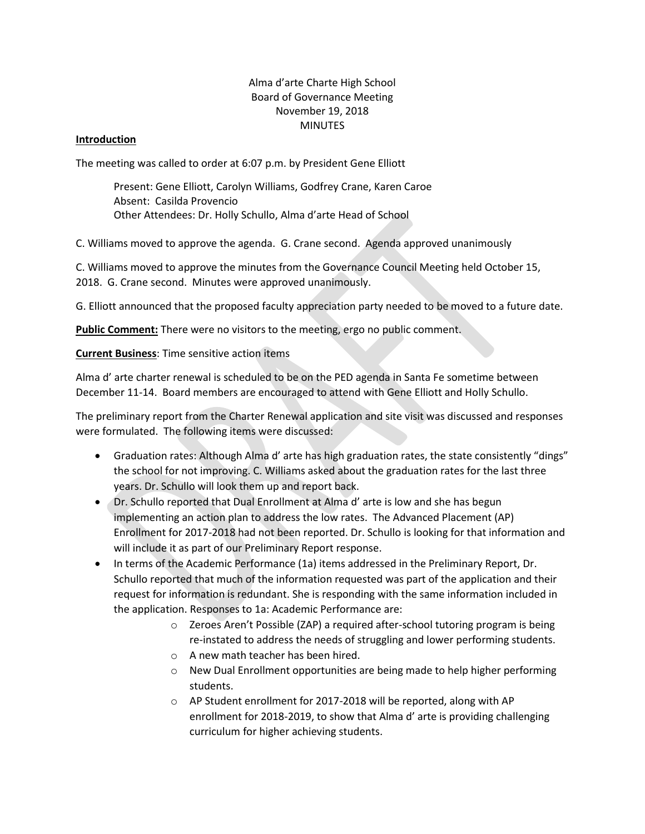## Alma d'arte Charte High School Board of Governance Meeting November 19, 2018 MINUTES

## **Introduction**

The meeting was called to order at 6:07 p.m. by President Gene Elliott

Present: Gene Elliott, Carolyn Williams, Godfrey Crane, Karen Caroe Absent: Casilda Provencio Other Attendees: Dr. Holly Schullo, Alma d'arte Head of School

C. Williams moved to approve the agenda. G. Crane second. Agenda approved unanimously

C. Williams moved to approve the minutes from the Governance Council Meeting held October 15, 2018. G. Crane second. Minutes were approved unanimously.

G. Elliott announced that the proposed faculty appreciation party needed to be moved to a future date.

**Public Comment:** There were no visitors to the meeting, ergo no public comment.

**Current Business**: Time sensitive action items

Alma d' arte charter renewal is scheduled to be on the PED agenda in Santa Fe sometime between December 11-14. Board members are encouraged to attend with Gene Elliott and Holly Schullo.

The preliminary report from the Charter Renewal application and site visit was discussed and responses were formulated. The following items were discussed:

- Graduation rates: Although Alma d' arte has high graduation rates, the state consistently "dings" the school for not improving. C. Williams asked about the graduation rates for the last three years. Dr. Schullo will look them up and report back.
- *Dr.* Schullo reported that Dual Enrollment at Alma d' arte is low and she has begun implementing an action plan to address the low rates. The Advanced Placement (AP) Enrollment for 2017-2018 had not been reported. Dr. Schullo is looking for that information and will include it as part of our Preliminary Report response.
- In terms of the Academic Performance (1a) items addressed in the Preliminary Report, Dr. Schullo reported that much of the information requested was part of the application and their request for information is redundant. She is responding with the same information included in the application. Responses to 1a: Academic Performance are:
	- o Zeroes Aren't Possible (ZAP) a required after-school tutoring program is being re-instated to address the needs of struggling and lower performing students.
	- o A new math teacher has been hired.
	- o New Dual Enrollment opportunities are being made to help higher performing students.
	- o AP Student enrollment for 2017-2018 will be reported, along with AP enrollment for 2018-2019, to show that Alma d' arte is providing challenging curriculum for higher achieving students.